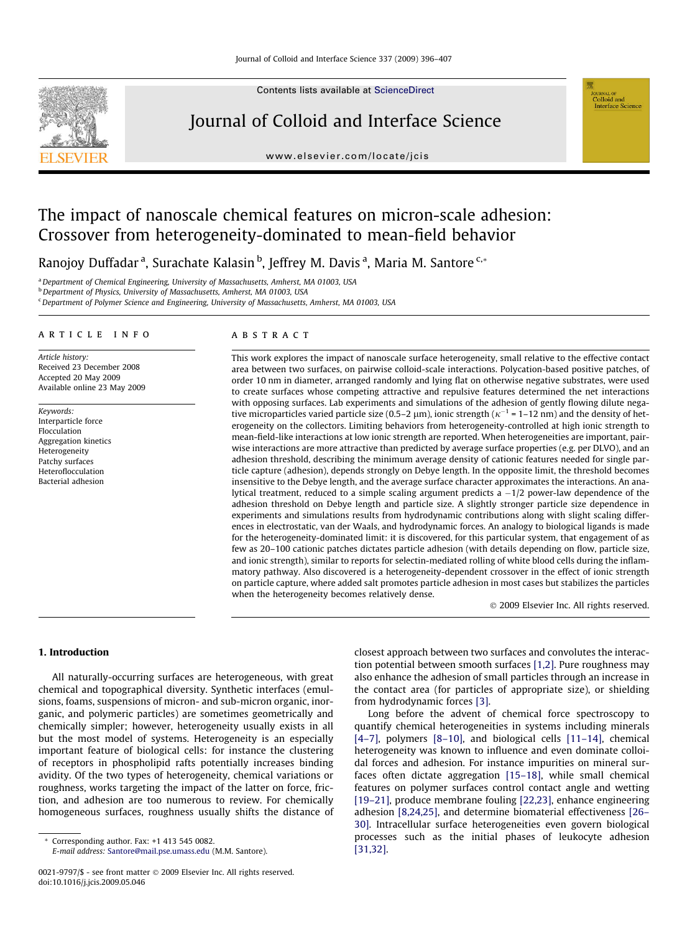

Contents lists available at [ScienceDirect](http://www.sciencedirect.com/science/journal/00219797)

## Journal of Colloid and Interface Science

[www.elsevier.com/locate/jcis](http://www.elsevier.com/locate/jcis)

# The impact of nanoscale chemical features on micron-scale adhesion: Crossover from heterogeneity-dominated to mean-field behavior

Ranojoy Duffadar <sup>a</sup>, Surachate Kalasin <sup>b</sup>, Jeffrey M. Davis <sup>a</sup>, Maria M. Santore <sup>c,</sup>\*

<sup>a</sup> Department of Chemical Engineering, University of Massachusetts, Amherst, MA 01003, USA

b Department of Physics, University of Massachusetts, Amherst, MA 01003, USA

<sup>c</sup> Department of Polymer Science and Engineering, University of Massachusetts, Amherst, MA 01003, USA

#### article info

Article history: Received 23 December 2008 Accepted 20 May 2009 Available online 23 May 2009

Keywords: Interparticle force Flocculation Aggregation kinetics Heterogeneity Patchy surfaces Heteroflocculation Bacterial adhesion

## ABSTRACT

This work explores the impact of nanoscale surface heterogeneity, small relative to the effective contact area between two surfaces, on pairwise colloid-scale interactions. Polycation-based positive patches, of order 10 nm in diameter, arranged randomly and lying flat on otherwise negative substrates, were used to create surfaces whose competing attractive and repulsive features determined the net interactions with opposing surfaces. Lab experiments and simulations of the adhesion of gently flowing dilute negative microparticles varied particle size (0.5–2  $\mu$ m), ionic strength ( $\kappa^{-1}$  = 1–12 nm) and the density of heterogeneity on the collectors. Limiting behaviors from heterogeneity-controlled at high ionic strength to mean-field-like interactions at low ionic strength are reported. When heterogeneities are important, pairwise interactions are more attractive than predicted by average surface properties (e.g. per DLVO), and an adhesion threshold, describing the minimum average density of cationic features needed for single particle capture (adhesion), depends strongly on Debye length. In the opposite limit, the threshold becomes insensitive to the Debye length, and the average surface character approximates the interactions. An analytical treatment, reduced to a simple scaling argument predicts a  $-1/2$  power-law dependence of the adhesion threshold on Debye length and particle size. A slightly stronger particle size dependence in experiments and simulations results from hydrodynamic contributions along with slight scaling differences in electrostatic, van der Waals, and hydrodynamic forces. An analogy to biological ligands is made for the heterogeneity-dominated limit: it is discovered, for this particular system, that engagement of as few as 20–100 cationic patches dictates particle adhesion (with details depending on flow, particle size, and ionic strength), similar to reports for selectin-mediated rolling of white blood cells during the inflammatory pathway. Also discovered is a heterogeneity-dependent crossover in the effect of ionic strength on particle capture, where added salt promotes particle adhesion in most cases but stabilizes the particles when the heterogeneity becomes relatively dense.

- 2009 Elsevier Inc. All rights reserved.

ournal of<br>Colloid and<br>Interface Science

#### 1. Introduction

All naturally-occurring surfaces are heterogeneous, with great chemical and topographical diversity. Synthetic interfaces (emulsions, foams, suspensions of micron- and sub-micron organic, inorganic, and polymeric particles) are sometimes geometrically and chemically simpler; however, heterogeneity usually exists in all but the most model of systems. Heterogeneity is an especially important feature of biological cells: for instance the clustering of receptors in phospholipid rafts potentially increases binding avidity. Of the two types of heterogeneity, chemical variations or roughness, works targeting the impact of the latter on force, friction, and adhesion are too numerous to review. For chemically homogeneous surfaces, roughness usually shifts the distance of

\* Corresponding author. Fax: +1 413 545 0082.

closest approach between two surfaces and convolutes the interaction potential between smooth surfaces [\[1,2\].](#page-11-0) Pure roughness may also enhance the adhesion of small particles through an increase in the contact area (for particles of appropriate size), or shielding from hydrodynamic forces [\[3\].](#page-11-0)

Long before the advent of chemical force spectroscopy to quantify chemical heterogeneities in systems including minerals [\[4–7\],](#page-11-0) polymers [\[8–10\],](#page-11-0) and biological cells [\[11–14\]](#page-11-0), chemical heterogeneity was known to influence and even dominate colloidal forces and adhesion. For instance impurities on mineral surfaces often dictate aggregation [\[15–18\]](#page-11-0), while small chemical features on polymer surfaces control contact angle and wetting [\[19–21\]](#page-11-0), produce membrane fouling [\[22,23\]](#page-11-0), enhance engineering adhesion [\[8,24,25\]](#page-11-0), and determine biomaterial effectiveness [\[26–](#page-11-0) [30\]](#page-11-0). Intracellular surface heterogeneities even govern biological processes such as the initial phases of leukocyte adhesion [\[31,32\].](#page-11-0)

E-mail address: [Santore@mail.pse.umass.edu](mailto:Santore@mail.pse.umass.edu) (M.M. Santore).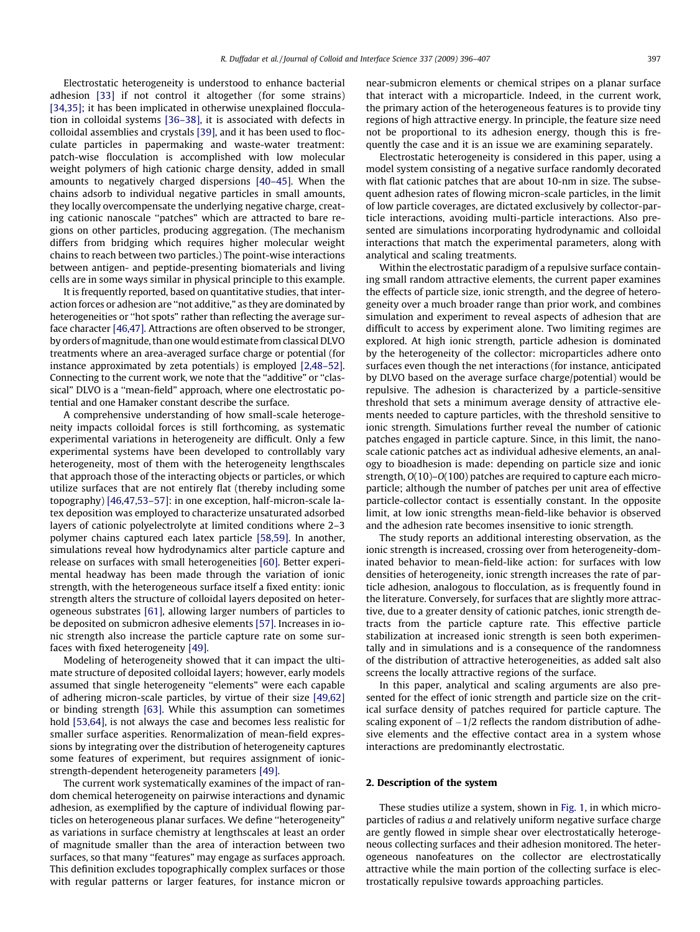Electrostatic heterogeneity is understood to enhance bacterial adhesion [\[33\]](#page-11-0) if not control it altogether (for some strains) [\[34,35\]](#page-11-0); it has been implicated in otherwise unexplained flocculation in colloidal systems [\[36–38\]](#page-11-0), it is associated with defects in colloidal assemblies and crystals [\[39\]](#page-11-0), and it has been used to flocculate particles in papermaking and waste-water treatment: patch-wise flocculation is accomplished with low molecular weight polymers of high cationic charge density, added in small amounts to negatively charged dispersions [\[40–45\].](#page-11-0) When the chains adsorb to individual negative particles in small amounts, they locally overcompensate the underlying negative charge, creating cationic nanoscale ''patches" which are attracted to bare regions on other particles, producing aggregation. (The mechanism differs from bridging which requires higher molecular weight chains to reach between two particles.) The point-wise interactions between antigen- and peptide-presenting biomaterials and living cells are in some ways similar in physical principle to this example.

It is frequently reported, based on quantitative studies, that interaction forces or adhesion are ''not additive," as they are dominated by heterogeneities or ''hot spots" rather than reflecting the average surface character [\[46,47\]](#page-11-0). Attractions are often observed to be stronger, by orders of magnitude, than one would estimate from classical DLVO treatments where an area-averaged surface charge or potential (for instance approximated by zeta potentials) is employed [\[2,48–52\].](#page-11-0) Connecting to the current work, we note that the ''additive" or ''classical" DLVO is a ''mean-field" approach, where one electrostatic potential and one Hamaker constant describe the surface.

A comprehensive understanding of how small-scale heterogeneity impacts colloidal forces is still forthcoming, as systematic experimental variations in heterogeneity are difficult. Only a few experimental systems have been developed to controllably vary heterogeneity, most of them with the heterogeneity lengthscales that approach those of the interacting objects or particles, or which utilize surfaces that are not entirely flat (thereby including some topography) [\[46,47,53–57\]:](#page-11-0) in one exception, half-micron-scale latex deposition was employed to characterize unsaturated adsorbed layers of cationic polyelectrolyte at limited conditions where 2–3 polymer chains captured each latex particle [\[58,59\]](#page-11-0). In another, simulations reveal how hydrodynamics alter particle capture and release on surfaces with small heterogeneities [\[60\]](#page-11-0). Better experimental headway has been made through the variation of ionic strength, with the heterogeneous surface itself a fixed entity: ionic strength alters the structure of colloidal layers deposited on heterogeneous substrates [\[61\]](#page-11-0), allowing larger numbers of particles to be deposited on submicron adhesive elements [\[57\]](#page-11-0). Increases in ionic strength also increase the particle capture rate on some surfaces with fixed heterogeneity [\[49\].](#page-11-0)

Modeling of heterogeneity showed that it can impact the ultimate structure of deposited colloidal layers; however, early models assumed that single heterogeneity ''elements" were each capable of adhering micron-scale particles, by virtue of their size [\[49,62\]](#page-11-0) or binding strength [\[63\].](#page-11-0) While this assumption can sometimes hold [\[53,64\]](#page-11-0), is not always the case and becomes less realistic for smaller surface asperities. Renormalization of mean-field expressions by integrating over the distribution of heterogeneity captures some features of experiment, but requires assignment of ionicstrength-dependent heterogeneity parameters [\[49\]](#page-11-0).

The current work systematically examines of the impact of random chemical heterogeneity on pairwise interactions and dynamic adhesion, as exemplified by the capture of individual flowing particles on heterogeneous planar surfaces. We define ''heterogeneity" as variations in surface chemistry at lengthscales at least an order of magnitude smaller than the area of interaction between two surfaces, so that many ''features" may engage as surfaces approach. This definition excludes topographically complex surfaces or those with regular patterns or larger features, for instance micron or

near-submicron elements or chemical stripes on a planar surface that interact with a microparticle. Indeed, in the current work, the primary action of the heterogeneous features is to provide tiny regions of high attractive energy. In principle, the feature size need not be proportional to its adhesion energy, though this is frequently the case and it is an issue we are examining separately.

Electrostatic heterogeneity is considered in this paper, using a model system consisting of a negative surface randomly decorated with flat cationic patches that are about 10-nm in size. The subsequent adhesion rates of flowing micron-scale particles, in the limit of low particle coverages, are dictated exclusively by collector-particle interactions, avoiding multi-particle interactions. Also presented are simulations incorporating hydrodynamic and colloidal interactions that match the experimental parameters, along with analytical and scaling treatments.

Within the electrostatic paradigm of a repulsive surface containing small random attractive elements, the current paper examines the effects of particle size, ionic strength, and the degree of heterogeneity over a much broader range than prior work, and combines simulation and experiment to reveal aspects of adhesion that are difficult to access by experiment alone. Two limiting regimes are explored. At high ionic strength, particle adhesion is dominated by the heterogeneity of the collector: microparticles adhere onto surfaces even though the net interactions (for instance, anticipated by DLVO based on the average surface charge/potential) would be repulsive. The adhesion is characterized by a particle-sensitive threshold that sets a minimum average density of attractive elements needed to capture particles, with the threshold sensitive to ionic strength. Simulations further reveal the number of cationic patches engaged in particle capture. Since, in this limit, the nanoscale cationic patches act as individual adhesive elements, an analogy to bioadhesion is made: depending on particle size and ionic strength,  $O(10)-O(100)$  patches are required to capture each microparticle; although the number of patches per unit area of effective particle-collector contact is essentially constant. In the opposite limit, at low ionic strengths mean-field-like behavior is observed and the adhesion rate becomes insensitive to ionic strength.

The study reports an additional interesting observation, as the ionic strength is increased, crossing over from heterogeneity-dominated behavior to mean-field-like action: for surfaces with low densities of heterogeneity, ionic strength increases the rate of particle adhesion, analogous to flocculation, as is frequently found in the literature. Conversely, for surfaces that are slightly more attractive, due to a greater density of cationic patches, ionic strength detracts from the particle capture rate. This effective particle stabilization at increased ionic strength is seen both experimentally and in simulations and is a consequence of the randomness of the distribution of attractive heterogeneities, as added salt also screens the locally attractive regions of the surface.

In this paper, analytical and scaling arguments are also presented for the effect of ionic strength and particle size on the critical surface density of patches required for particle capture. The scaling exponent of  $-1/2$  reflects the random distribution of adhesive elements and the effective contact area in a system whose interactions are predominantly electrostatic.

#### 2. Description of the system

These studies utilize a system, shown in [Fig. 1,](#page-2-0) in which microparticles of radius a and relatively uniform negative surface charge are gently flowed in simple shear over electrostatically heterogeneous collecting surfaces and their adhesion monitored. The heterogeneous nanofeatures on the collector are electrostatically attractive while the main portion of the collecting surface is electrostatically repulsive towards approaching particles.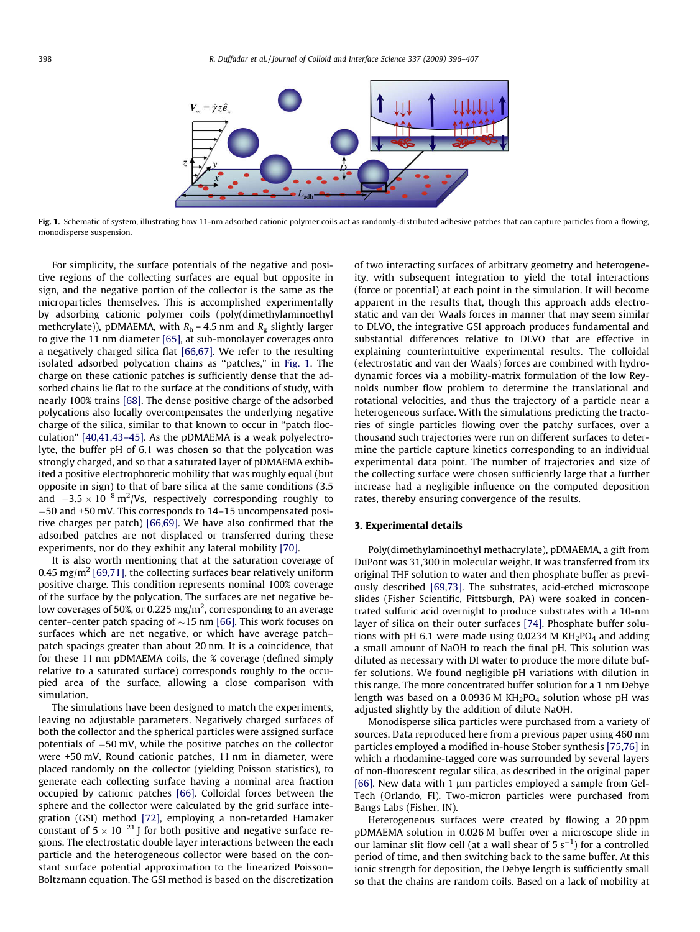<span id="page-2-0"></span>

Fig. 1. Schematic of system, illustrating how 11-nm adsorbed cationic polymer coils act as randomly-distributed adhesive patches that can capture particles from a flowing. monodisperse suspension.

For simplicity, the surface potentials of the negative and positive regions of the collecting surfaces are equal but opposite in sign, and the negative portion of the collector is the same as the microparticles themselves. This is accomplished experimentally by adsorbing cationic polymer coils (poly(dimethylaminoethyl methcrylate)), pDMAEMA, with  $R_h$  = 4.5 nm and  $R_g$  slightly larger to give the 11 nm diameter [\[65\],](#page-11-0) at sub-monolayer coverages onto a negatively charged silica flat [\[66,67\]](#page-11-0). We refer to the resulting isolated adsorbed polycation chains as ''patches," in Fig. 1. The charge on these cationic patches is sufficiently dense that the adsorbed chains lie flat to the surface at the conditions of study, with nearly 100% trains [\[68\]](#page-11-0). The dense positive charge of the adsorbed polycations also locally overcompensates the underlying negative charge of the silica, similar to that known to occur in ''patch flocculation" [\[40,41,43–45\]](#page-11-0). As the pDMAEMA is a weak polyelectrolyte, the buffer pH of 6.1 was chosen so that the polycation was strongly charged, and so that a saturated layer of pDMAEMA exhibited a positive electrophoretic mobility that was roughly equal (but opposite in sign) to that of bare silica at the same conditions (3.5 and  $-3.5\times10^{-8}$  m<sup>2</sup>/Vs, respectively corresponding roughly to -50 and +50 mV. This corresponds to 14–15 uncompensated positive charges per patch) [\[66,69\]](#page-11-0). We have also confirmed that the adsorbed patches are not displaced or transferred during these experiments, nor do they exhibit any lateral mobility [\[70\].](#page-11-0)

It is also worth mentioning that at the saturation coverage of 0.45 mg/m<sup>2</sup> [\[69,71\]](#page-11-0), the collecting surfaces bear relatively uniform positive charge. This condition represents nominal 100% coverage of the surface by the polycation. The surfaces are net negative below coverages of 50%, or 0.225 mg/m<sup>2</sup>, corresponding to an average center–center patch spacing of  $\sim$ 15 nm [\[66\].](#page-11-0) This work focuses on surfaces which are net negative, or which have average patch– patch spacings greater than about 20 nm. It is a coincidence, that for these 11 nm pDMAEMA coils, the % coverage (defined simply relative to a saturated surface) corresponds roughly to the occupied area of the surface, allowing a close comparison with simulation.

The simulations have been designed to match the experiments, leaving no adjustable parameters. Negatively charged surfaces of both the collector and the spherical particles were assigned surface potentials of -50 mV, while the positive patches on the collector were +50 mV. Round cationic patches, 11 nm in diameter, were placed randomly on the collector (yielding Poisson statistics), to generate each collecting surface having a nominal area fraction occupied by cationic patches [\[66\].](#page-11-0) Colloidal forces between the sphere and the collector were calculated by the grid surface integration (GSI) method [\[72\]](#page-11-0), employing a non-retarded Hamaker constant of  $5 \times 10^{-21}$  J for both positive and negative surface regions. The electrostatic double layer interactions between the each particle and the heterogeneous collector were based on the constant surface potential approximation to the linearized Poisson– Boltzmann equation. The GSI method is based on the discretization of two interacting surfaces of arbitrary geometry and heterogeneity, with subsequent integration to yield the total interactions (force or potential) at each point in the simulation. It will become apparent in the results that, though this approach adds electrostatic and van der Waals forces in manner that may seem similar to DLVO, the integrative GSI approach produces fundamental and substantial differences relative to DLVO that are effective in explaining counterintuitive experimental results. The colloidal (electrostatic and van der Waals) forces are combined with hydrodynamic forces via a mobility-matrix formulation of the low Reynolds number flow problem to determine the translational and rotational velocities, and thus the trajectory of a particle near a heterogeneous surface. With the simulations predicting the tractories of single particles flowing over the patchy surfaces, over a thousand such trajectories were run on different surfaces to determine the particle capture kinetics corresponding to an individual experimental data point. The number of trajectories and size of the collecting surface were chosen sufficiently large that a further increase had a negligible influence on the computed deposition rates, thereby ensuring convergence of the results.

## 3. Experimental details

Poly(dimethylaminoethyl methacrylate), pDMAEMA, a gift from DuPont was 31,300 in molecular weight. It was transferred from its original THF solution to water and then phosphate buffer as previously described [\[69,73\]](#page-11-0). The substrates, acid-etched microscope slides (Fisher Scientific, Pittsburgh, PA) were soaked in concentrated sulfuric acid overnight to produce substrates with a 10-nm layer of silica on their outer surfaces [\[74\]](#page-11-0). Phosphate buffer solutions with pH 6.1 were made using 0.0234 M  $KH<sub>2</sub>PO<sub>4</sub>$  and adding a small amount of NaOH to reach the final pH. This solution was diluted as necessary with DI water to produce the more dilute buffer solutions. We found negligible pH variations with dilution in this range. The more concentrated buffer solution for a 1 nm Debye length was based on a 0.0936 M  $KH_2PO_4$  solution whose pH was adjusted slightly by the addition of dilute NaOH.

Monodisperse silica particles were purchased from a variety of sources. Data reproduced here from a previous paper using 460 nm particles employed a modified in-house Stober synthesis [\[75,76\]](#page-11-0) in which a rhodamine-tagged core was surrounded by several layers of non-fluorescent regular silica, as described in the original paper [\[66\]](#page-11-0). New data with 1  $\mu$ m particles employed a sample from Gel-Tech (Orlando, Fl). Two-micron particles were purchased from Bangs Labs (Fisher, IN).

Heterogeneous surfaces were created by flowing a 20 ppm pDMAEMA solution in 0.026 M buffer over a microscope slide in our laminar slit flow cell (at a wall shear of  $5 s<sup>-1</sup>$ ) for a controlled period of time, and then switching back to the same buffer. At this ionic strength for deposition, the Debye length is sufficiently small so that the chains are random coils. Based on a lack of mobility at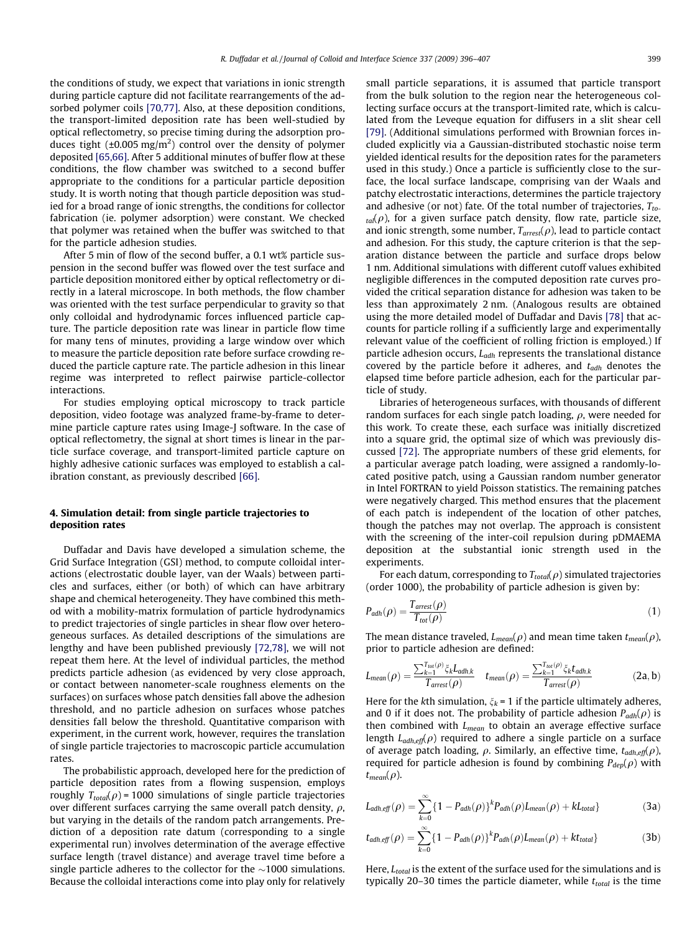<span id="page-3-0"></span>the conditions of study, we expect that variations in ionic strength during particle capture did not facilitate rearrangements of the adsorbed polymer coils [\[70,77\].](#page-11-0) Also, at these deposition conditions, the transport-limited deposition rate has been well-studied by optical reflectometry, so precise timing during the adsorption produces tight ( $\pm 0.005$  mg/m<sup>2</sup>) control over the density of polymer deposited [\[65,66\]](#page-11-0). After 5 additional minutes of buffer flow at these conditions, the flow chamber was switched to a second buffer appropriate to the conditions for a particular particle deposition study. It is worth noting that though particle deposition was studied for a broad range of ionic strengths, the conditions for collector fabrication (ie. polymer adsorption) were constant. We checked that polymer was retained when the buffer was switched to that for the particle adhesion studies.

After 5 min of flow of the second buffer, a 0.1 wt% particle suspension in the second buffer was flowed over the test surface and particle deposition monitored either by optical reflectometry or directly in a lateral microscope. In both methods, the flow chamber was oriented with the test surface perpendicular to gravity so that only colloidal and hydrodynamic forces influenced particle capture. The particle deposition rate was linear in particle flow time for many tens of minutes, providing a large window over which to measure the particle deposition rate before surface crowding reduced the particle capture rate. The particle adhesion in this linear regime was interpreted to reflect pairwise particle-collector interactions.

For studies employing optical microscopy to track particle deposition, video footage was analyzed frame-by-frame to determine particle capture rates using Image-J software. In the case of optical reflectometry, the signal at short times is linear in the particle surface coverage, and transport-limited particle capture on highly adhesive cationic surfaces was employed to establish a calibration constant, as previously described [\[66\]](#page-11-0).

## 4. Simulation detail: from single particle trajectories to deposition rates

Duffadar and Davis have developed a simulation scheme, the Grid Surface Integration (GSI) method, to compute colloidal interactions (electrostatic double layer, van der Waals) between particles and surfaces, either (or both) of which can have arbitrary shape and chemical heterogeneity. They have combined this method with a mobility-matrix formulation of particle hydrodynamics to predict trajectories of single particles in shear flow over heterogeneous surfaces. As detailed descriptions of the simulations are lengthy and have been published previously [\[72,78\],](#page-11-0) we will not repeat them here. At the level of individual particles, the method predicts particle adhesion (as evidenced by very close approach, or contact between nanometer-scale roughness elements on the surfaces) on surfaces whose patch densities fall above the adhesion threshold, and no particle adhesion on surfaces whose patches densities fall below the threshold. Quantitative comparison with experiment, in the current work, however, requires the translation of single particle trajectories to macroscopic particle accumulation rates.

The probabilistic approach, developed here for the prediction of particle deposition rates from a flowing suspension, employs roughly  $T_{total}(\rho)$  = 1000 simulations of single particle trajectories over different surfaces carrying the same overall patch density,  $\rho$ , but varying in the details of the random patch arrangements. Prediction of a deposition rate datum (corresponding to a single experimental run) involves determination of the average effective surface length (travel distance) and average travel time before a single particle adheres to the collector for the  $\sim$ 1000 simulations. Because the colloidal interactions come into play only for relatively small particle separations, it is assumed that particle transport from the bulk solution to the region near the heterogeneous collecting surface occurs at the transport-limited rate, which is calculated from the Leveque equation for diffusers in a slit shear cell [\[79\]](#page-11-0). (Additional simulations performed with Brownian forces included explicitly via a Gaussian-distributed stochastic noise term yielded identical results for the deposition rates for the parameters used in this study.) Once a particle is sufficiently close to the surface, the local surface landscape, comprising van der Waals and patchy electrostatic interactions, determines the particle trajectory and adhesive (or not) fate. Of the total number of trajectories,  $T_{to}$  $_{tal}(\rho)$ , for a given surface patch density, flow rate, particle size, and ionic strength, some number,  $T_{\text{arrest}}(\rho)$ , lead to particle contact and adhesion. For this study, the capture criterion is that the separation distance between the particle and surface drops below 1 nm. Additional simulations with different cutoff values exhibited negligible differences in the computed deposition rate curves provided the critical separation distance for adhesion was taken to be less than approximately 2 nm. (Analogous results are obtained using the more detailed model of Duffadar and Davis [\[78\]](#page-11-0) that accounts for particle rolling if a sufficiently large and experimentally relevant value of the coefficient of rolling friction is employed.) If particle adhesion occurs,  $L_{adh}$  represents the translational distance covered by the particle before it adheres, and  $t_{adh}$  denotes the elapsed time before particle adhesion, each for the particular particle of study.

Libraries of heterogeneous surfaces, with thousands of different random surfaces for each single patch loading,  $\rho$ , were needed for this work. To create these, each surface was initially discretized into a square grid, the optimal size of which was previously discussed [\[72\]](#page-11-0). The appropriate numbers of these grid elements, for a particular average patch loading, were assigned a randomly-located positive patch, using a Gaussian random number generator in Intel FORTRAN to yield Poisson statistics. The remaining patches were negatively charged. This method ensures that the placement of each patch is independent of the location of other patches, though the patches may not overlap. The approach is consistent with the screening of the inter-coil repulsion during pDMAEMA deposition at the substantial ionic strength used in the experiments.

For each datum, corresponding to  $T_{total}(\rho)$  simulated trajectories (order 1000), the probability of particle adhesion is given by:

$$
P_{adh}(\rho) = \frac{T_{arrest}(\rho)}{T_{tot}(\rho)}\tag{1}
$$

The mean distance traveled,  $L_{mean}(\rho)$  and mean time taken  $t_{mean}(\rho)$ , prior to particle adhesion are defined:

$$
L_{mean}(\rho) = \frac{\sum_{k=1}^{T_{tot}(\rho)} \xi_k L_{adh,k}}{T_{arresf}(\rho)} \quad t_{mean}(\rho) = \frac{\sum_{k=1}^{T_{tot}(\rho)} \xi_k t_{adh,k}}{T_{arresf}(\rho)} \tag{2a,b}
$$

Here for the kth simulation,  $\xi_k = 1$  if the particle ultimately adheres, and 0 if it does not. The probability of particle adhesion  $P_{adh}(\rho)$  is then combined with  $L_{mean}$  to obtain an average effective surface length  $L_{adh,eff}(\rho)$  required to adhere a single particle on a surface of average patch loading,  $\rho$ . Similarly, an effective time,  $t_{adh,eff}(\rho)$ , required for particle adhesion is found by combining  $P_{dep}(\rho)$  with  $t_{mean}(\rho)$ .

$$
L_{adh,eff}(\rho) = \sum_{k=0}^{\infty} \{1 - P_{adh}(\rho)\}^{k} P_{adh}(\rho) L_{mean}(\rho) + k L_{total}\}
$$
 (3a)

$$
t_{adh,eff}(\rho) = \sum_{k=0}^{\infty} \{1 - P_{adh}(\rho)\}^{k} P_{adh}(\rho) L_{mean}(\rho) + kt_{total}\}
$$
 (3b)

Here,  $L_{total}$  is the extent of the surface used for the simulations and is typically 20–30 times the particle diameter, while  $t_{total}$  is the time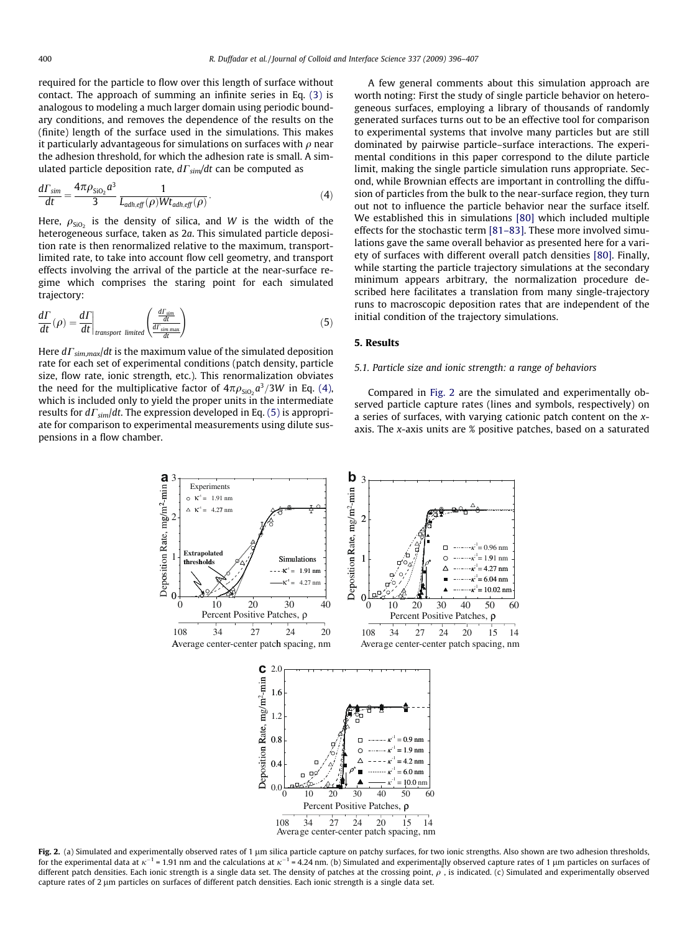<span id="page-4-0"></span>required for the particle to flow over this length of surface without contact. The approach of summing an infinite series in Eq. [\(3\)](#page-3-0) is analogous to modeling a much larger domain using periodic boundary conditions, and removes the dependence of the results on the (finite) length of the surface used in the simulations. This makes it particularly advantageous for simulations on surfaces with  $\rho$  near the adhesion threshold, for which the adhesion rate is small. A simulated particle deposition rate,  $d\Gamma_{sim}/dt$  can be computed as

$$
\frac{d\Gamma_{\text{sim}}}{dt} = \frac{4\pi\rho_{\text{SiO}_2}a^3}{3}\frac{1}{L_{\text{adh,eff}}(\rho)Wt_{\text{adh,eff}}(\rho)}.
$$
(4)

Here,  $\rho_{SiO<sub>2</sub>}$  is the density of silica, and W is the width of the heterogeneous surface, taken as 2a. This simulated particle deposition rate is then renormalized relative to the maximum, transportlimited rate, to take into account flow cell geometry, and transport effects involving the arrival of the particle at the near-surface regime which comprises the staring point for each simulated trajectory:

$$
\frac{d\Gamma}{dt}(\rho) = \frac{d\Gamma}{dt}\Big|_{transport\ limited} \left(\frac{\frac{d\Gamma_{sim}}{dt}}{\frac{d\Gamma_{sim}}{dt}}\right) \tag{5}
$$

Here  $d\Gamma_{sim,max}/dt$  is the maximum value of the simulated deposition rate for each set of experimental conditions (patch density, particle size, flow rate, ionic strength, etc.). This renormalization obviates the need for the multiplicative factor of  $4\pi\rho_{\text{SiO}_2} a^3/3W$  in Eq. (4), which is included only to yield the proper units in the intermediate results for  $d\Gamma_{sim}/dt$ . The expression developed in Eq. (5) is appropriate for comparison to experimental measurements using dilute suspensions in a flow chamber.

A few general comments about this simulation approach are worth noting: First the study of single particle behavior on heterogeneous surfaces, employing a library of thousands of randomly generated surfaces turns out to be an effective tool for comparison to experimental systems that involve many particles but are still dominated by pairwise particle–surface interactions. The experimental conditions in this paper correspond to the dilute particle limit, making the single particle simulation runs appropriate. Second, while Brownian effects are important in controlling the diffusion of particles from the bulk to the near-surface region, they turn out not to influence the particle behavior near the surface itself. We established this in simulations [\[80\]](#page-11-0) which included multiple effects for the stochastic term [\[81–83\].](#page-11-0) These more involved simulations gave the same overall behavior as presented here for a variety of surfaces with different overall patch densities [\[80\].](#page-11-0) Finally, while starting the particle trajectory simulations at the secondary minimum appears arbitrary, the normalization procedure described here facilitates a translation from many single-trajectory runs to macroscopic deposition rates that are independent of the initial condition of the trajectory simulations.

## 5. Results

### 5.1. Particle size and ionic strength: a range of behaviors

Compared in Fig. 2 are the simulated and experimentally observed particle capture rates (lines and symbols, respectively) on a series of surfaces, with varying cationic patch content on the xaxis. The x-axis units are % positive patches, based on a saturated



Fig. 2. (a) Simulated and experimentally observed rates of 1 µm silica particle capture on patchy surfaces, for two ionic strengths. Also shown are two adhesion thresholds, for the experimental data at  $\kappa^{-1}$  = 1.91 nm and the calculations at  $\kappa^{-1}$  = 4.24 nm. (b) Simulated and experimentally observed capture rates of 1 µm particles on surfaces of different patch densities. Each ionic strength is a single data set. The density of patches at the crossing point,  $\rho^*$ , is indicated. (c) Simulated and experimentally observed capture rates of 2 lm particles on surfaces of different patch densities. Each ionic strength is a single data set.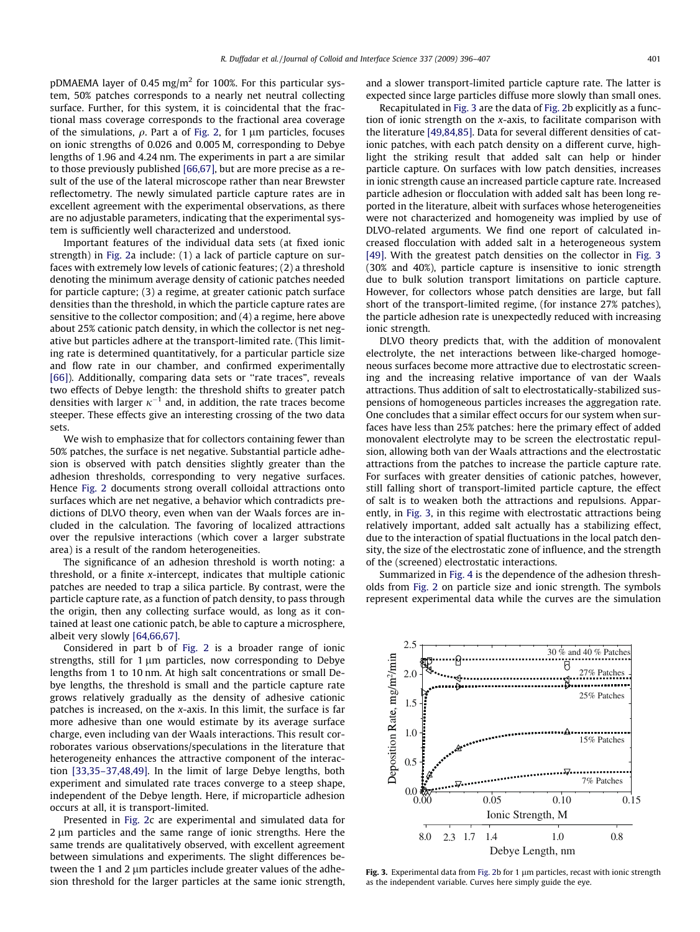<span id="page-5-0"></span>pDMAEMA layer of 0.45 mg/m<sup>2</sup> for 100%. For this particular system, 50% patches corresponds to a nearly net neutral collecting surface. Further, for this system, it is coincidental that the fractional mass coverage corresponds to the fractional area coverage of the simulations,  $\rho$ . Part a of [Fig. 2](#page-4-0), for 1  $\mu$ m particles, focuses on ionic strengths of 0.026 and 0.005 M, corresponding to Debye lengths of 1.96 and 4.24 nm. The experiments in part a are similar to those previously published [\[66,67\],](#page-11-0) but are more precise as a result of the use of the lateral microscope rather than near Brewster reflectometry. The newly simulated particle capture rates are in excellent agreement with the experimental observations, as there are no adjustable parameters, indicating that the experimental system is sufficiently well characterized and understood.

Important features of the individual data sets (at fixed ionic strength) in [Fig. 2a](#page-4-0) include: (1) a lack of particle capture on surfaces with extremely low levels of cationic features; (2) a threshold denoting the minimum average density of cationic patches needed for particle capture; (3) a regime, at greater cationic patch surface densities than the threshold, in which the particle capture rates are sensitive to the collector composition; and (4) a regime, here above about 25% cationic patch density, in which the collector is net negative but particles adhere at the transport-limited rate. (This limiting rate is determined quantitatively, for a particular particle size and flow rate in our chamber, and confirmed experimentally [\[66\]\)](#page-11-0). Additionally, comparing data sets or "rate traces", reveals two effects of Debye length: the threshold shifts to greater patch densities with larger  $\kappa^{-1}$  and, in addition, the rate traces become steeper. These effects give an interesting crossing of the two data sets.

We wish to emphasize that for collectors containing fewer than 50% patches, the surface is net negative. Substantial particle adhesion is observed with patch densities slightly greater than the adhesion thresholds, corresponding to very negative surfaces. Hence [Fig. 2](#page-4-0) documents strong overall colloidal attractions onto surfaces which are net negative, a behavior which contradicts predictions of DLVO theory, even when van der Waals forces are included in the calculation. The favoring of localized attractions over the repulsive interactions (which cover a larger substrate area) is a result of the random heterogeneities.

The significance of an adhesion threshold is worth noting: a threshold, or a finite x-intercept, indicates that multiple cationic patches are needed to trap a silica particle. By contrast, were the particle capture rate, as a function of patch density, to pass through the origin, then any collecting surface would, as long as it contained at least one cationic patch, be able to capture a microsphere, albeit very slowly [\[64,66,67\]](#page-11-0).

Considered in part b of [Fig. 2](#page-4-0) is a broader range of ionic strengths, still for  $1 \mu m$  particles, now corresponding to Debye lengths from 1 to 10 nm. At high salt concentrations or small Debye lengths, the threshold is small and the particle capture rate grows relatively gradually as the density of adhesive cationic patches is increased, on the x-axis. In this limit, the surface is far more adhesive than one would estimate by its average surface charge, even including van der Waals interactions. This result corroborates various observations/speculations in the literature that heterogeneity enhances the attractive component of the interaction [\[33,35–37,48,49\].](#page-11-0) In the limit of large Debye lengths, both experiment and simulated rate traces converge to a steep shape, independent of the Debye length. Here, if microparticle adhesion occurs at all, it is transport-limited.

Presented in [Fig. 2](#page-4-0)c are experimental and simulated data for  $2 \mu m$  particles and the same range of ionic strengths. Here the same trends are qualitatively observed, with excellent agreement between simulations and experiments. The slight differences between the 1 and 2  $\mu$ m particles include greater values of the adhesion threshold for the larger particles at the same ionic strength, and a slower transport-limited particle capture rate. The latter is expected since large particles diffuse more slowly than small ones.

Recapitulated in Fig. 3 are the data of [Fig. 2](#page-4-0)b explicitly as a function of ionic strength on the x-axis, to facilitate comparison with the literature [\[49,84,85\].](#page-11-0) Data for several different densities of cationic patches, with each patch density on a different curve, highlight the striking result that added salt can help or hinder particle capture. On surfaces with low patch densities, increases in ionic strength cause an increased particle capture rate. Increased particle adhesion or flocculation with added salt has been long reported in the literature, albeit with surfaces whose heterogeneities were not characterized and homogeneity was implied by use of DLVO-related arguments. We find one report of calculated increased flocculation with added salt in a heterogeneous system [\[49\]](#page-11-0). With the greatest patch densities on the collector in Fig. 3 (30% and 40%), particle capture is insensitive to ionic strength due to bulk solution transport limitations on particle capture. However, for collectors whose patch densities are large, but fall short of the transport-limited regime, (for instance 27% patches), the particle adhesion rate is unexpectedly reduced with increasing ionic strength.

DLVO theory predicts that, with the addition of monovalent electrolyte, the net interactions between like-charged homogeneous surfaces become more attractive due to electrostatic screening and the increasing relative importance of van der Waals attractions. Thus addition of salt to electrostatically-stabilized suspensions of homogeneous particles increases the aggregation rate. One concludes that a similar effect occurs for our system when surfaces have less than 25% patches: here the primary effect of added monovalent electrolyte may to be screen the electrostatic repulsion, allowing both van der Waals attractions and the electrostatic attractions from the patches to increase the particle capture rate. For surfaces with greater densities of cationic patches, however, still falling short of transport-limited particle capture, the effect of salt is to weaken both the attractions and repulsions. Apparently, in Fig. 3, in this regime with electrostatic attractions being relatively important, added salt actually has a stabilizing effect, due to the interaction of spatial fluctuations in the local patch density, the size of the electrostatic zone of influence, and the strength of the (screened) electrostatic interactions.

Summarized in [Fig. 4](#page-6-0) is the dependence of the adhesion thresholds from [Fig. 2](#page-4-0) on particle size and ionic strength. The symbols represent experimental data while the curves are the simulation



Fig. 3. Experimental data from [Fig. 2b](#page-4-0) for 1  $\mu$ m particles, recast with ionic strength as the independent variable. Curves here simply guide the eye.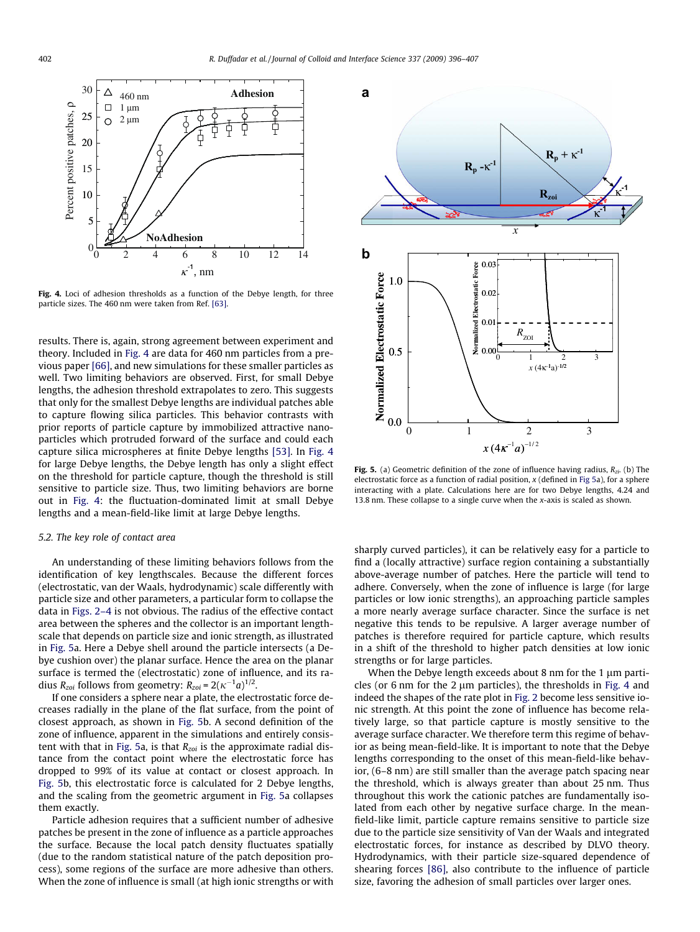<span id="page-6-0"></span>

Fig. 4. Loci of adhesion thresholds as a function of the Debye length, for three particle sizes. The 460 nm were taken from Ref. [\[63\].](#page-11-0)

results. There is, again, strong agreement between experiment and theory. Included in Fig. 4 are data for 460 nm particles from a previous paper [\[66\],](#page-11-0) and new simulations for these smaller particles as well. Two limiting behaviors are observed. First, for small Debye lengths, the adhesion threshold extrapolates to zero. This suggests that only for the smallest Debye lengths are individual patches able to capture flowing silica particles. This behavior contrasts with prior reports of particle capture by immobilized attractive nanoparticles which protruded forward of the surface and could each capture silica microspheres at finite Debye lengths [\[53\]](#page-11-0). In Fig. 4 for large Debye lengths, the Debye length has only a slight effect on the threshold for particle capture, though the threshold is still sensitive to particle size. Thus, two limiting behaviors are borne out in Fig. 4: the fluctuation-dominated limit at small Debye lengths and a mean-field-like limit at large Debye lengths.

#### 5.2. The key role of contact area

An understanding of these limiting behaviors follows from the identification of key lengthscales. Because the different forces (electrostatic, van der Waals, hydrodynamic) scale differently with particle size and other parameters, a particular form to collapse the data in [Figs. 2–4](#page-4-0) is not obvious. The radius of the effective contact area between the spheres and the collector is an important lengthscale that depends on particle size and ionic strength, as illustrated in Fig. 5a. Here a Debye shell around the particle intersects (a Debye cushion over) the planar surface. Hence the area on the planar surface is termed the (electrostatic) zone of influence, and its radius  $R_{zoi}$  follows from geometry:  $R_{zoi} = 2(\kappa^{-1}a)^{1/2}$ .

If one considers a sphere near a plate, the electrostatic force decreases radially in the plane of the flat surface, from the point of closest approach, as shown in Fig. 5b. A second definition of the zone of influence, apparent in the simulations and entirely consistent with that in Fig. 5a, is that  $R_{z0i}$  is the approximate radial distance from the contact point where the electrostatic force has dropped to 99% of its value at contact or closest approach. In Fig. 5b, this electrostatic force is calculated for 2 Debye lengths, and the scaling from the geometric argument in Fig. 5a collapses them exactly.

Particle adhesion requires that a sufficient number of adhesive patches be present in the zone of influence as a particle approaches the surface. Because the local patch density fluctuates spatially (due to the random statistical nature of the patch deposition process), some regions of the surface are more adhesive than others. When the zone of influence is small (at high ionic strengths or with



Fig. 5. (a) Geometric definition of the zone of influence having radius,  $R_{zi}$ . (b) The electrostatic force as a function of radial position,  $x$  (defined in Fig 5a), for a sphere interacting with a plate. Calculations here are for two Debye lengths, 4.24 and 13.8 nm. These collapse to a single curve when the  $x$ -axis is scaled as shown.

sharply curved particles), it can be relatively easy for a particle to find a (locally attractive) surface region containing a substantially above-average number of patches. Here the particle will tend to adhere. Conversely, when the zone of influence is large (for large particles or low ionic strengths), an approaching particle samples a more nearly average surface character. Since the surface is net negative this tends to be repulsive. A larger average number of patches is therefore required for particle capture, which results in a shift of the threshold to higher patch densities at low ionic strengths or for large particles.

When the Debye length exceeds about 8 nm for the 1  $\mu$ m particles (or  $6 \text{ nm}$  for the  $2 \mu \text{ m}$  particles), the thresholds in Fig. 4 and indeed the shapes of the rate plot in [Fig. 2](#page-4-0) become less sensitive ionic strength. At this point the zone of influence has become relatively large, so that particle capture is mostly sensitive to the average surface character. We therefore term this regime of behavior as being mean-field-like. It is important to note that the Debye lengths corresponding to the onset of this mean-field-like behavior, (6–8 nm) are still smaller than the average patch spacing near the threshold, which is always greater than about 25 nm. Thus throughout this work the cationic patches are fundamentally isolated from each other by negative surface charge. In the meanfield-like limit, particle capture remains sensitive to particle size due to the particle size sensitivity of Van der Waals and integrated electrostatic forces, for instance as described by DLVO theory. Hydrodynamics, with their particle size-squared dependence of shearing forces [\[86\],](#page-11-0) also contribute to the influence of particle size, favoring the adhesion of small particles over larger ones.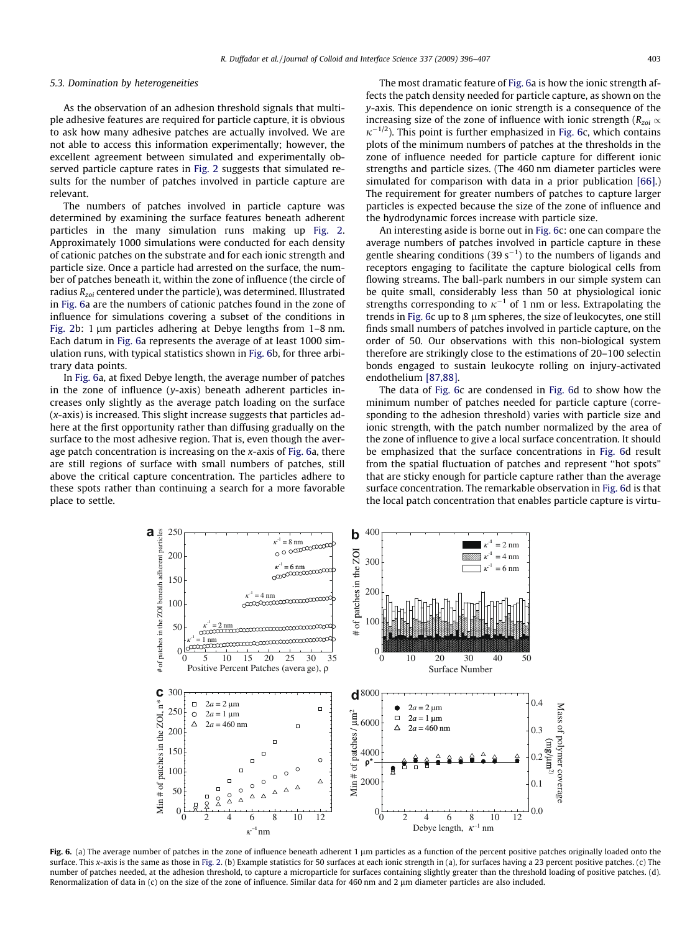#### <span id="page-7-0"></span>5.3. Domination by heterogeneities

As the observation of an adhesion threshold signals that multiple adhesive features are required for particle capture, it is obvious to ask how many adhesive patches are actually involved. We are not able to access this information experimentally; however, the excellent agreement between simulated and experimentally observed particle capture rates in [Fig. 2](#page-4-0) suggests that simulated results for the number of patches involved in particle capture are relevant.

The numbers of patches involved in particle capture was determined by examining the surface features beneath adherent particles in the many simulation runs making up [Fig. 2.](#page-4-0) Approximately 1000 simulations were conducted for each density of cationic patches on the substrate and for each ionic strength and particle size. Once a particle had arrested on the surface, the number of patches beneath it, within the zone of influence (the circle of radius  $R_{zoi}$  centered under the particle), was determined. Illustrated in Fig. 6a are the numbers of cationic patches found in the zone of influence for simulations covering a subset of the conditions in [Fig. 2b](#page-4-0): 1  $\mu$ m particles adhering at Debye lengths from 1–8 nm. Each datum in Fig. 6a represents the average of at least 1000 simulation runs, with typical statistics shown in Fig. 6b, for three arbitrary data points.

In Fig. 6a, at fixed Debye length, the average number of patches in the zone of influence (y-axis) beneath adherent particles increases only slightly as the average patch loading on the surface (x-axis) is increased. This slight increase suggests that particles adhere at the first opportunity rather than diffusing gradually on the surface to the most adhesive region. That is, even though the average patch concentration is increasing on the x-axis of Fig. 6a, there are still regions of surface with small numbers of patches, still above the critical capture concentration. The particles adhere to these spots rather than continuing a search for a more favorable place to settle.

The most dramatic feature of Fig. 6a is how the ionic strength affects the patch density needed for particle capture, as shown on the y-axis. This dependence on ionic strength is a consequence of the increasing size of the zone of influence with ionic strength ( $R_{z0i} \propto$  $\kappa^{-1/2}$ ). This point is further emphasized in Fig. 6c, which contains plots of the minimum numbers of patches at the thresholds in the zone of influence needed for particle capture for different ionic strengths and particle sizes. (The 460 nm diameter particles were simulated for comparison with data in a prior publication [\[66\].](#page-11-0)) The requirement for greater numbers of patches to capture larger particles is expected because the size of the zone of influence and the hydrodynamic forces increase with particle size.

An interesting aside is borne out in Fig. 6c: one can compare the average numbers of patches involved in particle capture in these gentle shearing conditions (39  $s^{-1}$ ) to the numbers of ligands and receptors engaging to facilitate the capture biological cells from flowing streams. The ball-park numbers in our simple system can be quite small, considerably less than 50 at physiological ionic strengths corresponding to  $\kappa^{-1}$  of 1 nm or less. Extrapolating the trends in Fig. 6c up to 8 µm spheres, the size of leukocytes, one still finds small numbers of patches involved in particle capture, on the order of 50. Our observations with this non-biological system therefore are strikingly close to the estimations of 20–100 selectin bonds engaged to sustain leukocyte rolling on injury-activated endothelium [\[87,88\]](#page-11-0).

The data of Fig. 6c are condensed in Fig. 6d to show how the minimum number of patches needed for particle capture (corresponding to the adhesion threshold) varies with particle size and ionic strength, with the patch number normalized by the area of the zone of influence to give a local surface concentration. It should be emphasized that the surface concentrations in Fig. 6d result from the spatial fluctuation of patches and represent ''hot spots" that are sticky enough for particle capture rather than the average surface concentration. The remarkable observation in Fig. 6d is that the local patch concentration that enables particle capture is virtu-



Fig. 6. (a) The average number of patches in the zone of influence beneath adherent 1 um particles as a function of the percent positive patches originally loaded onto the surface. This x-axis is the same as those in [Fig. 2.](#page-4-0) (b) Example statistics for 50 surfaces at each ionic strength in (a), for surfaces having a 23 percent positive patches. (c) The number of patches needed, at the adhesion threshold, to capture a microparticle for surfaces containing slightly greater than the threshold loading of positive patches. (d). Renormalization of data in  $(c)$  on the size of the zone of influence. Similar data for 460 nm and 2  $\mu$ m diameter particles are also included.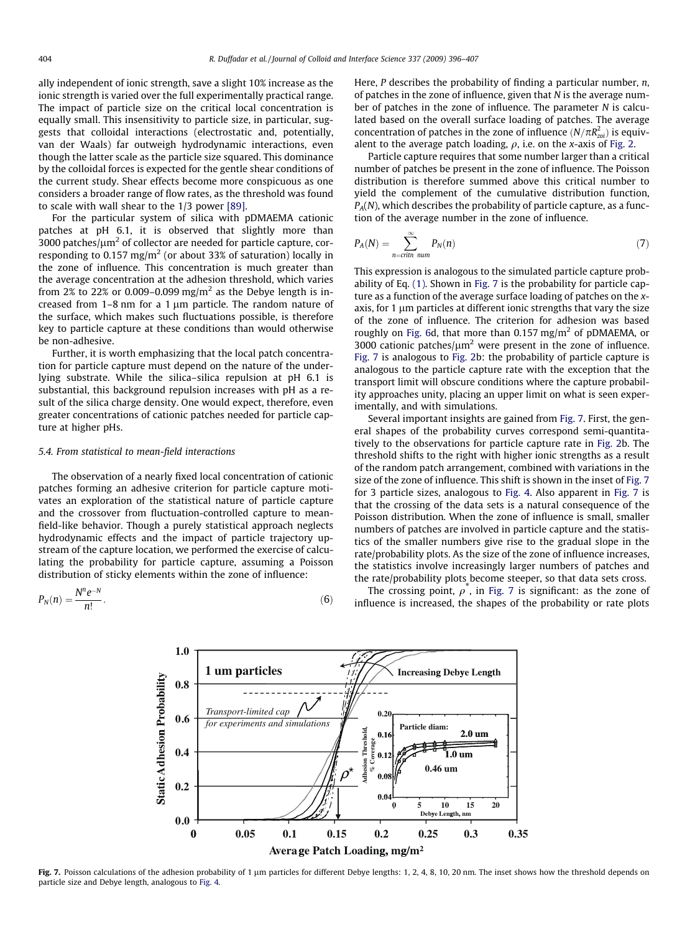<span id="page-8-0"></span>ally independent of ionic strength, save a slight 10% increase as the ionic strength is varied over the full experimentally practical range. The impact of particle size on the critical local concentration is equally small. This insensitivity to particle size, in particular, suggests that colloidal interactions (electrostatic and, potentially, van der Waals) far outweigh hydrodynamic interactions, even though the latter scale as the particle size squared. This dominance by the colloidal forces is expected for the gentle shear conditions of the current study. Shear effects become more conspicuous as one considers a broader range of flow rates, as the threshold was found to scale with wall shear to the 1/3 power [\[89\].](#page-11-0)

For the particular system of silica with pDMAEMA cationic patches at pH 6.1, it is observed that slightly more than 3000 patches/ $\mu$ m<sup>2</sup> of collector are needed for particle capture, corresponding to 0.157 mg/m<sup>2</sup> (or about 33% of saturation) locally in the zone of influence. This concentration is much greater than the average concentration at the adhesion threshold, which varies from 2% to 22% or 0.009–0.099 mg/m<sup>2</sup> as the Debye length is increased from  $1-8$  nm for a 1  $\mu$ m particle. The random nature of the surface, which makes such fluctuations possible, is therefore key to particle capture at these conditions than would otherwise be non-adhesive.

Further, it is worth emphasizing that the local patch concentration for particle capture must depend on the nature of the underlying substrate. While the silica–silica repulsion at pH 6.1 is substantial, this background repulsion increases with pH as a result of the silica charge density. One would expect, therefore, even greater concentrations of cationic patches needed for particle capture at higher pHs.

#### 5.4. From statistical to mean-field interactions

The observation of a nearly fixed local concentration of cationic patches forming an adhesive criterion for particle capture motivates an exploration of the statistical nature of particle capture and the crossover from fluctuation-controlled capture to meanfield-like behavior. Though a purely statistical approach neglects hydrodynamic effects and the impact of particle trajectory upstream of the capture location, we performed the exercise of calculating the probability for particle capture, assuming a Poisson distribution of sticky elements within the zone of influence:

$$
P_N(n) = \frac{N^n e^{-N}}{n!}.\tag{6}
$$

Here, P describes the probability of finding a particular number,  $n$ , of patches in the zone of influence, given that N is the average number of patches in the zone of influence. The parameter N is calculated based on the overall surface loading of patches. The average concentration of patches in the zone of influence  $(N/\pi R_{\text{zoi}}^2)$  is equivalent to the average patch loading,  $\rho$ , i.e. on the x-axis of [Fig. 2](#page-4-0).

Particle capture requires that some number larger than a critical number of patches be present in the zone of influence. The Poisson distribution is therefore summed above this critical number to yield the complement of the cumulative distribution function,  $P_A(N)$ , which describes the probability of particle capture, as a function of the average number in the zone of influence.

$$
P_A(N) = \sum_{n = \text{critn num}}^{\infty} P_N(n) \tag{7}
$$

This expression is analogous to the simulated particle capture probability of Eq. [\(1\).](#page-3-0) Shown in Fig. 7 is the probability for particle capture as a function of the average surface loading of patches on the xaxis, for 1 um particles at different ionic strengths that vary the size of the zone of influence. The criterion for adhesion was based roughly on [Fig. 6d](#page-7-0), that more than  $0.157 \text{ mg/m}^2$  of pDMAEMA, or 3000 cationic patches/ $\mu$ m<sup>2</sup> were present in the zone of influence. Fig. 7 is analogous to [Fig. 2](#page-4-0)b: the probability of particle capture is analogous to the particle capture rate with the exception that the transport limit will obscure conditions where the capture probability approaches unity, placing an upper limit on what is seen experimentally, and with simulations.

Several important insights are gained from Fig. 7. First, the general shapes of the probability curves correspond semi-quantitatively to the observations for particle capture rate in [Fig. 2](#page-4-0)b. The threshold shifts to the right with higher ionic strengths as a result of the random patch arrangement, combined with variations in the size of the zone of influence. This shift is shown in the inset of Fig. 7 for 3 particle sizes, analogous to [Fig. 4.](#page-6-0) Also apparent in Fig. 7 is that the crossing of the data sets is a natural consequence of the Poisson distribution. When the zone of influence is small, smaller numbers of patches are involved in particle capture and the statistics of the smaller numbers give rise to the gradual slope in the rate/probability plots. As the size of the zone of influence increases, the statistics involve increasingly larger numbers of patches and the rate/probability plots become steeper, so that data sets cross.

The crossing point,  $\rho^{\tilde{}}$ , in Fig. 7 is significant: as the zone of influence is increased, the shapes of the probability or rate plots



Fig. 7. Poisson calculations of the adhesion probability of 1 µm particles for different Debye lengths: 1, 2, 4, 8, 10, 20 nm. The inset shows how the threshold depends on particle size and Debye length, analogous to [Fig. 4](#page-6-0).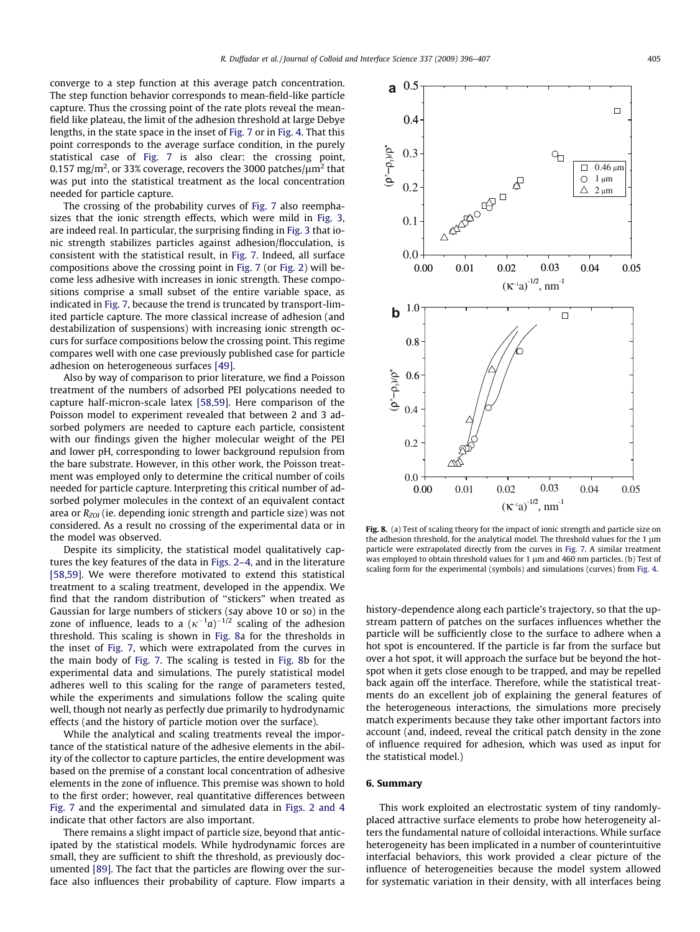converge to a step function at this average patch concentration. The step function behavior corresponds to mean-field-like particle capture. Thus the crossing point of the rate plots reveal the meanfield like plateau, the limit of the adhesion threshold at large Debye lengths, in the state space in the inset of [Fig. 7](#page-8-0) or in [Fig. 4](#page-6-0). That this point corresponds to the average surface condition, in the purely statistical case of [Fig. 7](#page-8-0) is also clear: the crossing point,  $0.157~{\rm mg/m^2}$ , or 33% coverage, recovers the 3000 patches/ $\rm \mu m^2$  that was put into the statistical treatment as the local concentration needed for particle capture.

The crossing of the probability curves of [Fig. 7](#page-8-0) also reemphasizes that the ionic strength effects, which were mild in [Fig. 3,](#page-5-0) are indeed real. In particular, the surprising finding in [Fig. 3](#page-5-0) that ionic strength stabilizes particles against adhesion/flocculation, is consistent with the statistical result, in [Fig. 7](#page-8-0). Indeed, all surface compositions above the crossing point in [Fig. 7](#page-8-0) (or [Fig. 2\)](#page-4-0) will become less adhesive with increases in ionic strength. These compositions comprise a small subset of the entire variable space, as indicated in [Fig. 7,](#page-8-0) because the trend is truncated by transport-limited particle capture. The more classical increase of adhesion (and destabilization of suspensions) with increasing ionic strength occurs for surface compositions below the crossing point. This regime compares well with one case previously published case for particle adhesion on heterogeneous surfaces [\[49\]](#page-11-0).

Also by way of comparison to prior literature, we find a Poisson treatment of the numbers of adsorbed PEI polycations needed to capture half-micron-scale latex [\[58,59\].](#page-11-0) Here comparison of the Poisson model to experiment revealed that between 2 and 3 adsorbed polymers are needed to capture each particle, consistent with our findings given the higher molecular weight of the PEI and lower pH, corresponding to lower background repulsion from the bare substrate. However, in this other work, the Poisson treatment was employed only to determine the critical number of coils needed for particle capture. Interpreting this critical number of adsorbed polymer molecules in the context of an equivalent contact area or  $R_{ZOI}$  (ie. depending ionic strength and particle size) was not considered. As a result no crossing of the experimental data or in the model was observed.

Despite its simplicity, the statistical model qualitatively captures the key features of the data in [Figs. 2–4](#page-4-0), and in the literature [\[58,59\]](#page-11-0). We were therefore motivated to extend this statistical treatment to a scaling treatment, developed in the appendix. We find that the random distribution of ''stickers" when treated as Gaussian for large numbers of stickers (say above 10 or so) in the zone of influence, leads to a  $(\kappa^{-1}a)^{-1/2}$  scaling of the adhesion threshold. This scaling is shown in Fig. 8a for the thresholds in the inset of [Fig. 7](#page-8-0), which were extrapolated from the curves in the main body of [Fig. 7](#page-8-0). The scaling is tested in Fig. 8b for the experimental data and simulations. The purely statistical model adheres well to this scaling for the range of parameters tested, while the experiments and simulations follow the scaling quite well, though not nearly as perfectly due primarily to hydrodynamic effects (and the history of particle motion over the surface).

While the analytical and scaling treatments reveal the importance of the statistical nature of the adhesive elements in the ability of the collector to capture particles, the entire development was based on the premise of a constant local concentration of adhesive elements in the zone of influence. This premise was shown to hold to the first order; however, real quantitative differences between [Fig. 7](#page-8-0) and the experimental and simulated data in [Figs. 2 and 4](#page-4-0) indicate that other factors are also important.

There remains a slight impact of particle size, beyond that anticipated by the statistical models. While hydrodynamic forces are small, they are sufficient to shift the threshold, as previously documented [\[89\]](#page-11-0). The fact that the particles are flowing over the surface also influences their probability of capture. Flow imparts a



Fig. 8. (a) Test of scaling theory for the impact of ionic strength and particle size on the adhesion threshold, for the analytical model. The threshold values for the  $1 \mu m$ particle were extrapolated directly from the curves in [Fig. 7.](#page-8-0) A similar treatment was employed to obtain threshold values for 1  $\mu$ m and 460 nm particles. (b) Test of scaling form for the experimental (symbols) and simulations (curves) from [Fig. 4.](#page-6-0)

history-dependence along each particle's trajectory, so that the upstream pattern of patches on the surfaces influences whether the particle will be sufficiently close to the surface to adhere when a hot spot is encountered. If the particle is far from the surface but over a hot spot, it will approach the surface but be beyond the hotspot when it gets close enough to be trapped, and may be repelled back again off the interface. Therefore, while the statistical treatments do an excellent job of explaining the general features of the heterogeneous interactions, the simulations more precisely match experiments because they take other important factors into account (and, indeed, reveal the critical patch density in the zone of influence required for adhesion, which was used as input for the statistical model.)

## 6. Summary

This work exploited an electrostatic system of tiny randomlyplaced attractive surface elements to probe how heterogeneity alters the fundamental nature of colloidal interactions. While surface heterogeneity has been implicated in a number of counterintuitive interfacial behaviors, this work provided a clear picture of the influence of heterogeneities because the model system allowed for systematic variation in their density, with all interfaces being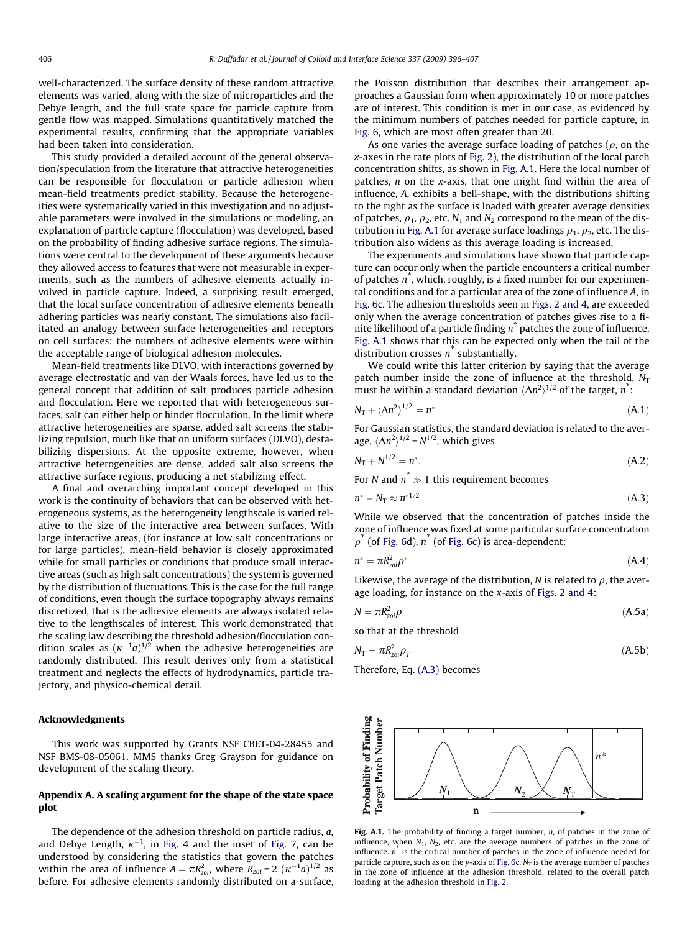well-characterized. The surface density of these random attractive elements was varied, along with the size of microparticles and the Debye length, and the full state space for particle capture from gentle flow was mapped. Simulations quantitatively matched the experimental results, confirming that the appropriate variables had been taken into consideration.

This study provided a detailed account of the general observation/speculation from the literature that attractive heterogeneities can be responsible for flocculation or particle adhesion when mean-field treatments predict stability. Because the heterogeneities were systematically varied in this investigation and no adjustable parameters were involved in the simulations or modeling, an explanation of particle capture (flocculation) was developed, based on the probability of finding adhesive surface regions. The simulations were central to the development of these arguments because they allowed access to features that were not measurable in experiments, such as the numbers of adhesive elements actually involved in particle capture. Indeed, a surprising result emerged, that the local surface concentration of adhesive elements beneath adhering particles was nearly constant. The simulations also facilitated an analogy between surface heterogeneities and receptors on cell surfaces: the numbers of adhesive elements were within the acceptable range of biological adhesion molecules.

Mean-field treatments like DLVO, with interactions governed by average electrostatic and van der Waals forces, have led us to the general concept that addition of salt produces particle adhesion and flocculation. Here we reported that with heterogeneous surfaces, salt can either help or hinder flocculation. In the limit where attractive heterogeneities are sparse, added salt screens the stabilizing repulsion, much like that on uniform surfaces (DLVO), destabilizing dispersions. At the opposite extreme, however, when attractive heterogeneities are dense, added salt also screens the attractive surface regions, producing a net stabilizing effect.

A final and overarching important concept developed in this work is the continuity of behaviors that can be observed with heterogeneous systems, as the heterogeneity lengthscale is varied relative to the size of the interactive area between surfaces. With large interactive areas, (for instance at low salt concentrations or for large particles), mean-field behavior is closely approximated while for small particles or conditions that produce small interactive areas (such as high salt concentrations) the system is governed by the distribution of fluctuations. This is the case for the full range of conditions, even though the surface topography always remains discretized, that is the adhesive elements are always isolated relative to the lengthscales of interest. This work demonstrated that the scaling law describing the threshold adhesion/flocculation condition scales as  $(\kappa^{-1}a)^{1/2}$  when the adhesive heterogeneities are randomly distributed. This result derives only from a statistical treatment and neglects the effects of hydrodynamics, particle trajectory, and physico-chemical detail.

#### Acknowledgments

This work was supported by Grants NSF CBET-04-28455 and NSF BMS-08-05061. MMS thanks Greg Grayson for guidance on development of the scaling theory.

## Appendix A. A scaling argument for the shape of the state space plot

The dependence of the adhesion threshold on particle radius, a, and Debye Length,  $\kappa^{-1}$ , in [Fig. 4](#page-6-0) and the inset of [Fig. 7](#page-8-0), can be understood by considering the statistics that govern the patches within the area of influence  $A = \pi R_{\text{zoi}}^2$ , where  $R_{\text{zoi}}$  = 2  $(\kappa^{-1}a)^{1/2}$  as before. For adhesive elements randomly distributed on a surface, the Poisson distribution that describes their arrangement approaches a Gaussian form when approximately 10 or more patches are of interest. This condition is met in our case, as evidenced by the minimum numbers of patches needed for particle capture, in [Fig. 6](#page-7-0), which are most often greater than 20.

As one varies the average surface loading of patches ( $\rho$ , on the x-axes in the rate plots of [Fig. 2](#page-4-0)), the distribution of the local patch concentration shifts, as shown in Fig. A.1. Here the local number of patches,  $n$  on the x-axis, that one might find within the area of influence, A, exhibits a bell-shape, with the distributions shifting to the right as the surface is loaded with greater average densities of patches,  $\rho_1$ ,  $\rho_2$ , etc.  $N_1$  and  $N_2$  correspond to the mean of the distribution in Fig. A.1 for average surface loadings  $\rho_1$ ,  $\rho_2$ , etc. The distribution also widens as this average loading is increased.

The experiments and simulations have shown that particle capture can occur only when the particle encounters a critical number of patches  $n^{\prime}$ , which, roughly, is a fixed number for our experimental conditions and for a particular area of the zone of influence A, in [Fig. 6c](#page-7-0). The adhesion thresholds seen in [Figs. 2 and 4,](#page-4-0) are exceeded only when the average concentration of patches gives rise to a finite likelihood of a particle finding  $n^{\dagger}$  patches the zone of influence. Fig. A.1 shows that this can be expected only when the tail of the distribution crosses  $n^{\dagger}$  substantially.

We could write this latter criterion by saying that the average patch number inside the zone of influence at the threshold,  $N_T$ must be within a standard deviation  $\langle \Delta n^2 \rangle^{1/2}$  of the target,  $n^*$ :

$$
N_{\rm T} + \langle \Delta n^2 \rangle^{1/2} = n^* \tag{A.1}
$$

For Gaussian statistics, the standard deviation is related to the average,  $\langle \Delta n^2 \rangle^{1/2} = N^{1/2}$ , which gives

$$
N_{\rm T} + N^{1/2} = n^*.
$$
 (A.2)

For N and  $n^* \gg 1$  this requirement becomes

$$
n^* - N_\text{T} \approx n^{*1/2}.\tag{A.3}
$$

While we observed that the concentration of patches inside the zone of influence was fixed at some particular surface concentration  $\rho^*$  (of [Fig. 6](#page-7-0)d),  $n^*$  (of Fig. 6c) is area-dependent:

$$
n^* = \pi R_{\text{zoi}}^2 \rho^* \tag{A.4}
$$

Likewise, the average of the distribution, N is related to  $\rho$ , the average loading, for instance on the x-axis of [Figs. 2 and 4:](#page-4-0)

$$
N = \pi R_{\text{zoi}}^2 \rho \tag{A.5a}
$$

so that at the threshold

$$
N_{\rm T} = \pi R_{\rm z0i}^2 \rho_{\rm T} \tag{A.5b}
$$

Therefore, Eq. (A.3) becomes



Fig. A.1. The probability of finding a target number,  $n$ , of patches in the zone of influence, when  $N_1$ ,  $N_2$ , etc. are the average numbers of patches in the zone of influence.  $n^{\dagger}$  is the critical number of patches in the zone of influence needed for particle capture, such as on the y-axis of [Fig. 6c](#page-7-0).  $N_T$  is the average number of patches in the zone of influence at the adhesion threshold, related to the overall patch loading at the adhesion threshold in [Fig. 2.](#page-4-0)